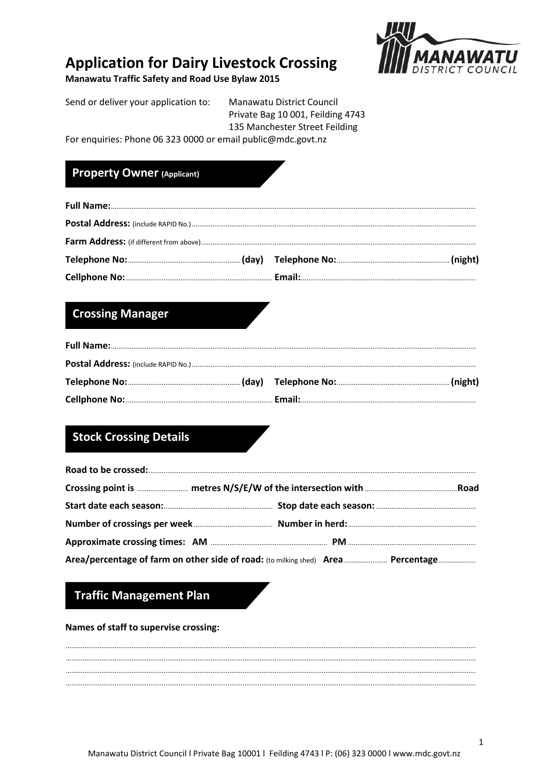# **Application for Dairy Livestock Crossing**

**Manawatu Traffic Safety and Road Use Bylaw 2015** 



Send or deliver your application to: Manawatu District Council Private Bag 10 001, Feilding 4743

135 Manchester Street Feilding

For enquiries: Phone 06 323 0000 or email public@mdc.govt.nz

## **Property Owner (Applicant)**

# **Crossing Manager**

# **Stock Crossing Details**

| Area/percentage of farm on other side of road: (to milking shed) Area  Percentage |  |
|-----------------------------------------------------------------------------------|--|

# **Traffic Management Plan**

#### Names of staff to supervise crossing: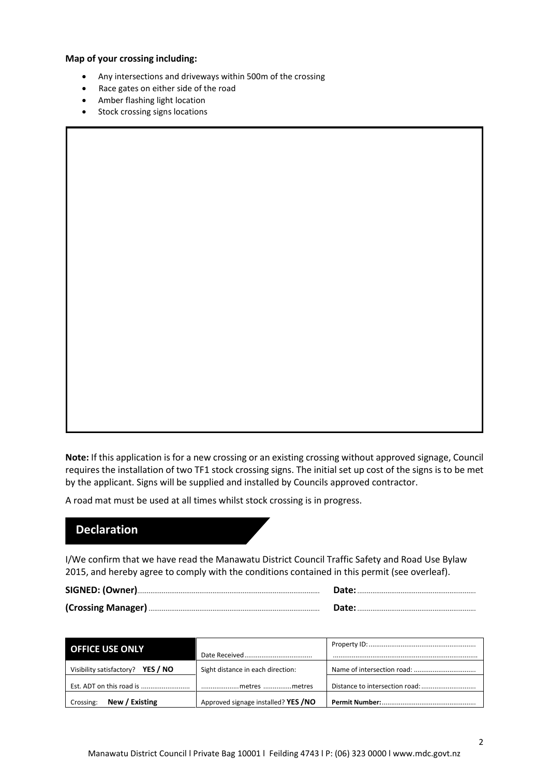**Map of your crossing including:**

- Any intersections and driveways within 500m of the crossing
- Race gates on either side of the road
- Amber flashing light location
- Stock crossing signs locations

**Note:** If this application is for a new crossing or an existing crossing without approved signage, Council requires the installation of two TF1 stock crossing signs. The initial set up cost of the signs is to be met by the applicant. Signs will be supplied and installed by Councils approved contractor.

A road mat must be used at all times whilst stock crossing is in progress.

### **Declaration**

I/We confirm that we have read the Manawatu District Council Traffic Safety and Road Use Bylaw 2015, and hereby agree to comply with the conditions contained in this permit (see overleaf).

| Date: |
|-------|
| Date: |

| <b>OFFICE USE ONLY</b>            |                                     |  |  |
|-----------------------------------|-------------------------------------|--|--|
| Visibility satisfactory? YES / NO | Sight distance in each direction:   |  |  |
|                                   | metres metres                       |  |  |
| New / Existing<br>Crossing:       | Approved signage installed? YES /NO |  |  |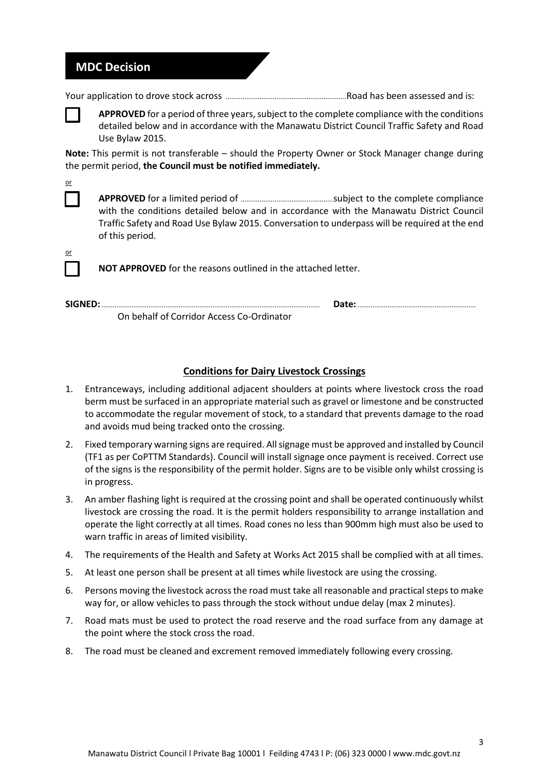### **MDC Decision**

Your application to drove stock across ................................................................Road has been assessed and is:

**APPROVED** for a period of three years, subject to the complete compliance with the conditions detailed below and in accordance with the Manawatu District Council Traffic Safety and Road Use Bylaw 2015.

**Note:** This permit is not transferable – should the Property Owner or Stock Manager change during the permit period, **the Council must be notified immediately.** 

**APPROVED** for a limited period of .................................................subject to the complete compliance with the conditions detailed below and in accordance with the Manawatu District Council Traffic Safety and Road Use Bylaw 2015. Conversation to underpass will be required at the end of this period.

**NOT APPROVED** for the reasons outlined in the attached letter.

**SIGNED:**.................................................................................................................... **Date:**............................................................... On behalf of Corridor Access Co-Ordinator

### **Conditions for Dairy Livestock Crossings**

- 1. Entranceways, including additional adjacent shoulders at points where livestock cross the road berm must be surfaced in an appropriate material such as gravel or limestone and be constructed to accommodate the regular movement of stock, to a standard that prevents damage to the road and avoids mud being tracked onto the crossing.
- 2. Fixed temporary warning signs are required. All signage must be approved and installed by Council (TF1 as per CoPTTM Standards). Council will install signage once payment is received. Correct use of the signs is the responsibility of the permit holder. Signs are to be visible only whilst crossing is in progress.
- 3. An amber flashing light is required at the crossing point and shall be operated continuously whilst livestock are crossing the road. It is the permit holders responsibility to arrange installation and operate the light correctly at all times. Road cones no less than 900mm high must also be used to warn traffic in areas of limited visibility.
- 4. The requirements of the Health and Safety at Works Act 2015 shall be complied with at all times.
- 5. At least one person shall be present at all times while livestock are using the crossing.
- 6. Persons moving the livestock across the road must take all reasonable and practical steps to make way for, or allow vehicles to pass through the stock without undue delay (max 2 minutes).
- 7. Road mats must be used to protect the road reserve and the road surface from any damage at the point where the stock cross the road.
- 8. The road must be cleaned and excrement removed immediately following every crossing.